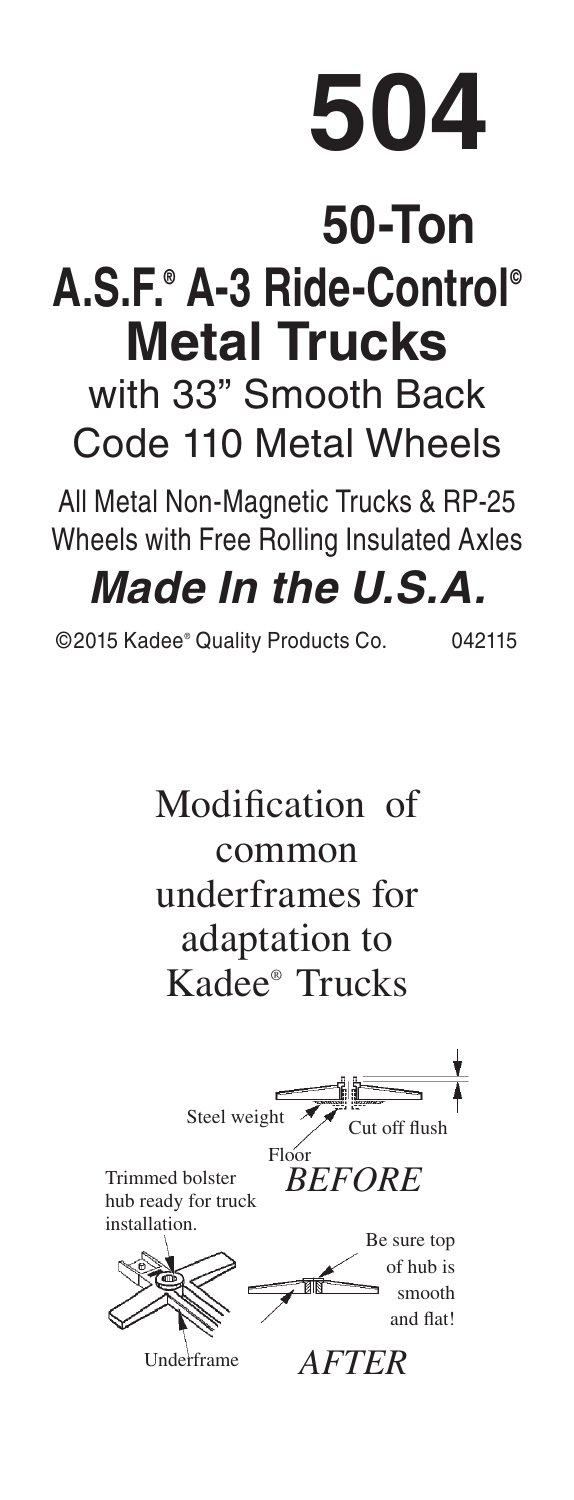## **504**

## **50-Ton A.S.F.® A-3 Ride-Control© Metal Trucks**

with 33" Smooth Back Code 110 Metal Wheels

All Metal Non-Magnetic Trucks & RP-25 Wheels with Free Rolling Insulated Axles

## *Made In the U.S.A.*

©2015 Kadee® Quality Products Co. 042115

Modification of common underframes for adaptation to Kadee® Trucks Trimmed bolster hub ready for truck installation. Cut off flush *BEFORE* Be sure top of hub is nooth Floor Steel weight

Underframe *AFTER*

and flat!